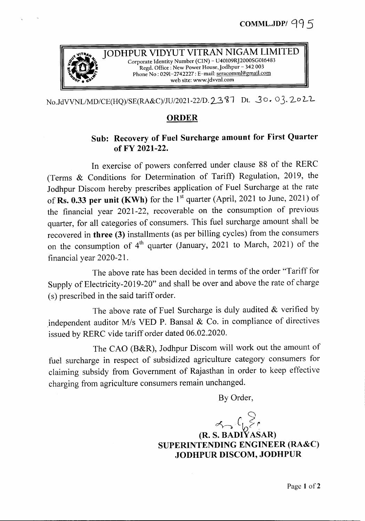

JODHPUR VIDYUT VITRAN NIGAM LIMITED Regd. Office: New Power House, Jodhpur - 342 003 Corporate Identity Number (CIN) - U40109RJ2000SG016483<br>*Regd. Office : New Power House, Jodhpur* - 342 003<br>Phone No: 0291-2742227 : E-mail: <u>seracomml@gmail.com</u> *901' •* 0-'''' web site: www.jdvvnl.com

*No.JdVVNLlMD/CE(HQ)/SE(RA&C)/JU/2021-22/D.23~l* Dt. -3<sup>0</sup>.°3. 202-'L

## ORDER

## Sub: Recovery of Fuel Surcharge amount for First Quarter ofFY 2021-22.

In exercise of powers conferred under clause 88 of the RERC (Terms & Conditions for Determination of Tariff) Regulation, 2019, the Jodhpur Discom hereby prescribes application of Fuel Surcharge at the rate of Rs. 0.33 per unit (KWh) for the  $1<sup>st</sup>$  quarter (April, 2021 to June, 2021) of the financial year 2021-22, recoverable on the consumption of previous quarter, for all categories of consumers. This fuel surcharge amount shall be recovered in three (3) installments (as per billing cycles) from the consumers on the consumption of  $4<sup>th</sup>$  quarter (January, 2021 to March, 2021) of the financial year 2020-21.

The above rate has been decided in terms of the order "Tariff for Supply of Electricity-2019-20" and shall be over and above the rate of charge (s) prescribed in the said tariff order.

The above rate of Fuel Surcharge is duly audited  $&$  verified by independent auditor M/s VED P. Bansal & Co. in compliance of directives issued by RERC vide tariff order dated 06.02.2020.

The CAO (B&R), Jodhpur Discom will work out the amount of fuel surcharge in respect of subsidized agriculture category consumers for claiming subsidy from Government of Rajasthan in order to keep effective charging from agriculture consumers remain unchanged.

By Order,

 $r_{\rm b}$   $r_{\rm b}$   $\geq r_{\rm c}$ 

(R. S. BADlY ASAR) SUPERINTENDING ENGINEER (RA&C) JODHPUR DISCOM, JODHPUR